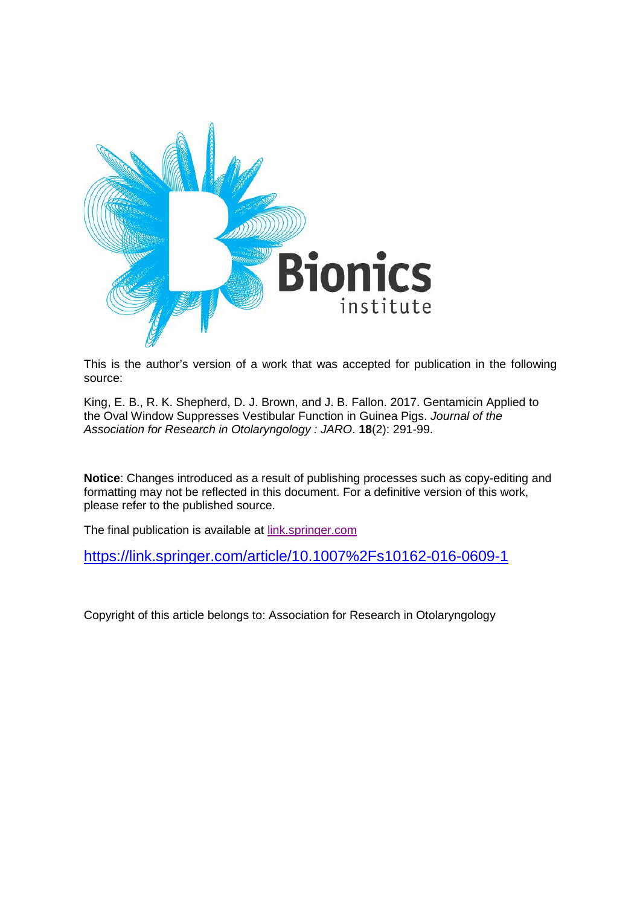

This is the author's version of a work that was accepted for publication in the following source:

King, E. B., R. K. Shepherd, D. J. Brown, and J. B. Fallon. 2017. Gentamicin Applied to the Oval Window Suppresses Vestibular Function in Guinea Pigs. *Journal of the Association for Research in Otolaryngology : JARO*. **18**(2): 291-99.

**Notice**: Changes introduced as a result of publishing processes such as copy-editing and formatting may not be reflected in this document. For a definitive version of this work, please refer to the published source.

The final publication is available at **link**.springer.com

<https://link.springer.com/article/10.1007%2Fs10162-016-0609-1>

Copyright of this article belongs to: Association for Research in Otolaryngology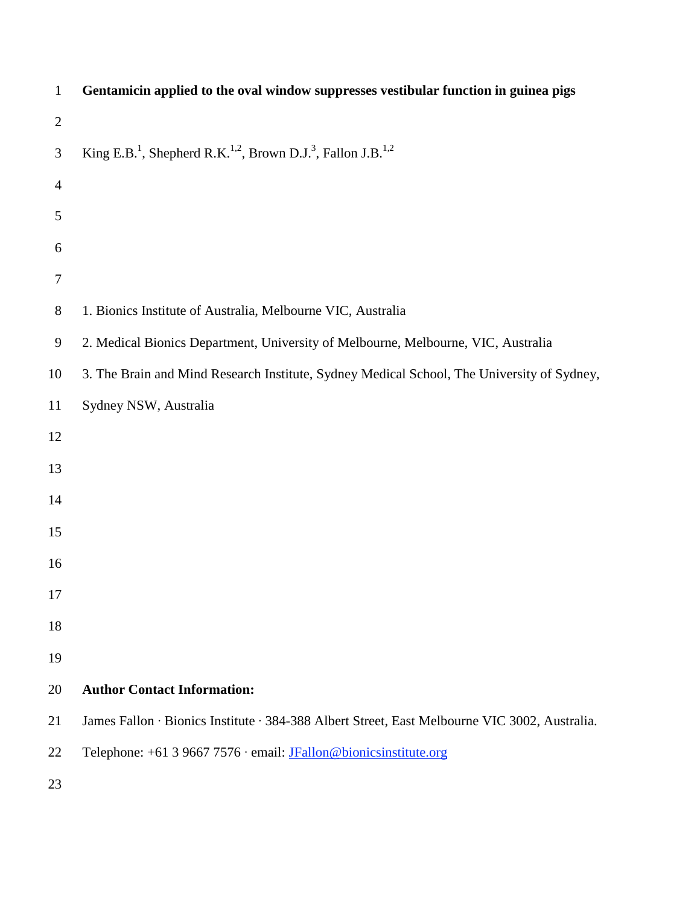| $\mathbf{1}$   | Gentamicin applied to the oval window suppresses vestibular function in guinea pigs                          |
|----------------|--------------------------------------------------------------------------------------------------------------|
| $\overline{2}$ |                                                                                                              |
| 3              | King E.B. <sup>1</sup> , Shepherd R.K. <sup>1,2</sup> , Brown D.J. <sup>3</sup> , Fallon J.B. <sup>1,2</sup> |
| $\overline{4}$ |                                                                                                              |
| 5              |                                                                                                              |
| 6              |                                                                                                              |
| $\tau$         |                                                                                                              |
| $8\phantom{.}$ | 1. Bionics Institute of Australia, Melbourne VIC, Australia                                                  |
| 9              | 2. Medical Bionics Department, University of Melbourne, Melbourne, VIC, Australia                            |
| 10             | 3. The Brain and Mind Research Institute, Sydney Medical School, The University of Sydney,                   |
| 11             | Sydney NSW, Australia                                                                                        |
| 12             |                                                                                                              |
| 13             |                                                                                                              |
| 14             |                                                                                                              |
| 15             |                                                                                                              |
| 16             |                                                                                                              |
| 17             |                                                                                                              |
| 18             |                                                                                                              |
| 19             |                                                                                                              |
| 20             | <b>Author Contact Information:</b>                                                                           |
| 21             | James Fallon · Bionics Institute · 384-388 Albert Street, East Melbourne VIC 3002, Australia.                |
| 22             | Telephone: +61 3 9667 7576 · email: JFallon@bionicsinstitute.org                                             |
| 23             |                                                                                                              |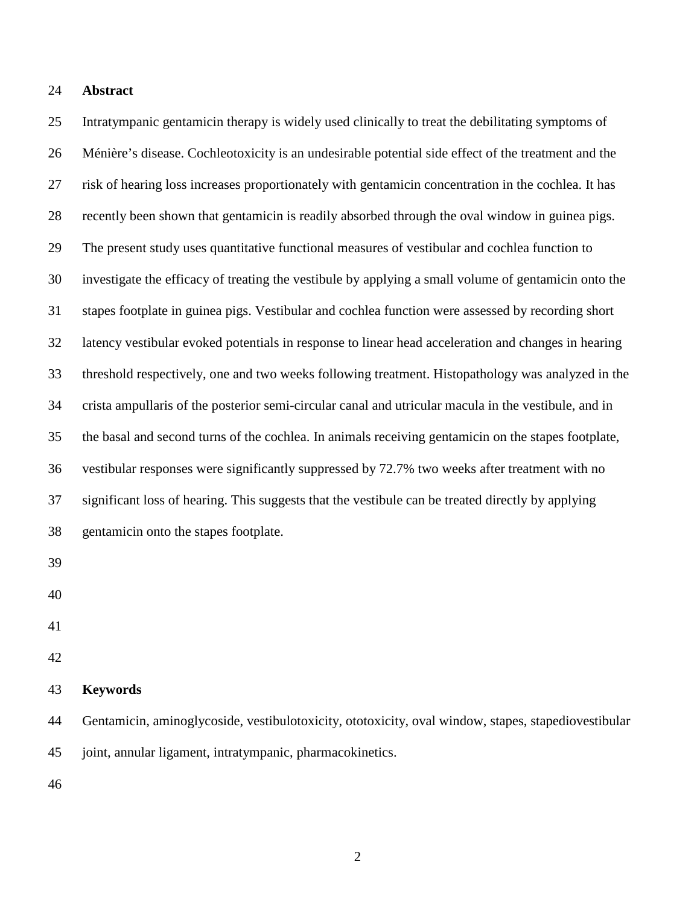# **Abstract**

 Intratympanic gentamicin therapy is widely used clinically to treat the debilitating symptoms of Ménière's disease. Cochleotoxicity is an undesirable potential side effect of the treatment and the risk of hearing loss increases proportionately with gentamicin concentration in the cochlea. It has recently been shown that gentamicin is readily absorbed through the oval window in guinea pigs. The present study uses quantitative functional measures of vestibular and cochlea function to investigate the efficacy of treating the vestibule by applying a small volume of gentamicin onto the stapes footplate in guinea pigs. Vestibular and cochlea function were assessed by recording short latency vestibular evoked potentials in response to linear head acceleration and changes in hearing threshold respectively, one and two weeks following treatment. Histopathology was analyzed in the crista ampullaris of the posterior semi-circular canal and utricular macula in the vestibule, and in the basal and second turns of the cochlea. In animals receiving gentamicin on the stapes footplate, vestibular responses were significantly suppressed by 72.7% two weeks after treatment with no significant loss of hearing. This suggests that the vestibule can be treated directly by applying gentamicin onto the stapes footplate. 

- 
- 
- 

## **Keywords**

 Gentamicin, aminoglycoside, vestibulotoxicity, ototoxicity, oval window, stapes, stapediovestibular joint, annular ligament, intratympanic, pharmacokinetics.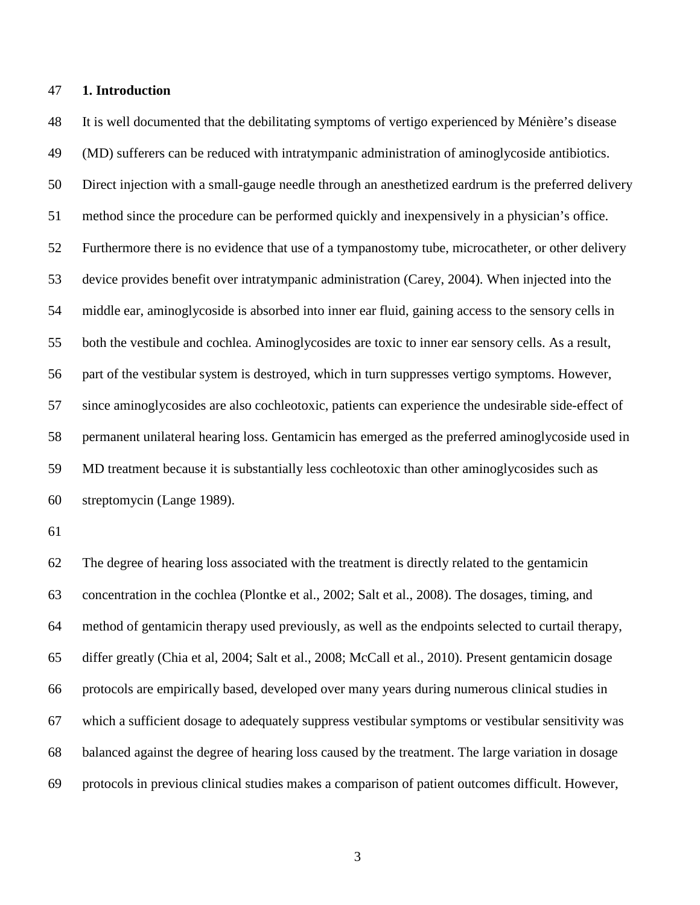# **1. Introduction**

 It is well documented that the debilitating symptoms of vertigo experienced by Ménière's disease (MD) sufferers can be reduced with intratympanic administration of aminoglycoside antibiotics. Direct injection with a small-gauge needle through an anesthetized eardrum is the preferred delivery method since the procedure can be performed quickly and inexpensively in a physician's office. Furthermore there is no evidence that use of a tympanostomy tube, microcatheter, or other delivery device provides benefit over intratympanic administration (Carey, 2004). When injected into the middle ear, aminoglycoside is absorbed into inner ear fluid, gaining access to the sensory cells in both the vestibule and cochlea. Aminoglycosides are toxic to inner ear sensory cells. As a result, part of the vestibular system is destroyed, which in turn suppresses vertigo symptoms. However, since aminoglycosides are also cochleotoxic, patients can experience the undesirable side-effect of permanent unilateral hearing loss. Gentamicin has emerged as the preferred aminoglycoside used in MD treatment because it is substantially less cochleotoxic than other aminoglycosides such as streptomycin (Lange 1989).

 The degree of hearing loss associated with the treatment is directly related to the gentamicin concentration in the cochlea (Plontke et al., 2002; Salt et al., 2008). The dosages, timing, and method of gentamicin therapy used previously, as well as the endpoints selected to curtail therapy, differ greatly (Chia et al, 2004; Salt et al., 2008; McCall et al., 2010). Present gentamicin dosage protocols are empirically based, developed over many years during numerous clinical studies in which a sufficient dosage to adequately suppress vestibular symptoms or vestibular sensitivity was balanced against the degree of hearing loss caused by the treatment. The large variation in dosage protocols in previous clinical studies makes a comparison of patient outcomes difficult. However,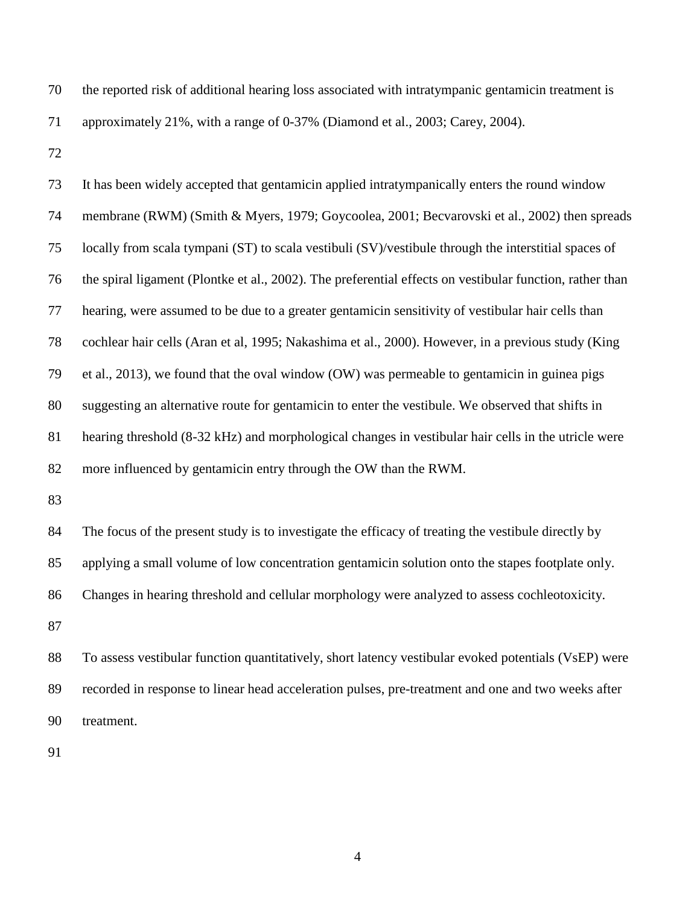| 70 | the reported risk of additional hearing loss associated with intratympanic gentamic in treatment is |
|----|-----------------------------------------------------------------------------------------------------|
| 71 | approximately 21%, with a range of 0-37% (Diamond et al., 2003; Carey, 2004).                       |

| 73 | It has been widely accepted that gentamic in applied intratympanically enters the round window           |
|----|----------------------------------------------------------------------------------------------------------|
| 74 | membrane (RWM) (Smith & Myers, 1979; Goycoolea, 2001; Becvarovski et al., 2002) then spreads             |
| 75 | locally from scala tympani (ST) to scala vestibuli (SV)/vestibule through the interstitial spaces of     |
| 76 | the spiral ligament (Plontke et al., 2002). The preferential effects on vestibular function, rather than |
| 77 | hearing, were assumed to be due to a greater gentamicin sensitivity of vestibular hair cells than        |
| 78 | cochlear hair cells (Aran et al, 1995; Nakashima et al., 2000). However, in a previous study (King       |
| 79 | et al., 2013), we found that the oval window $(OW)$ was permeable to gentamic in guinea pigs             |
| 80 | suggesting an alternative route for gentamicin to enter the vestibule. We observed that shifts in        |
| 81 | hearing threshold (8-32 kHz) and morphological changes in vestibular hair cells in the utricle were      |
| 82 | more influenced by gentamic nentry through the OW than the RWM.                                          |
| 83 |                                                                                                          |
| 84 | The focus of the present study is to investigate the efficacy of treating the vestibule directly by      |
| 85 | applying a small volume of low concentration gentamicin solution onto the stapes footplate only.         |
| 86 | Changes in hearing threshold and cellular morphology were analyzed to assess cochleotoxicity.            |
| 87 |                                                                                                          |
| 88 | To assess vestibular function quantitatively, short latency vestibular evoked potentials (VsEP) were     |
| 89 | recorded in response to linear head acceleration pulses, pre-treatment and one and two weeks after       |
| 90 | treatment.                                                                                               |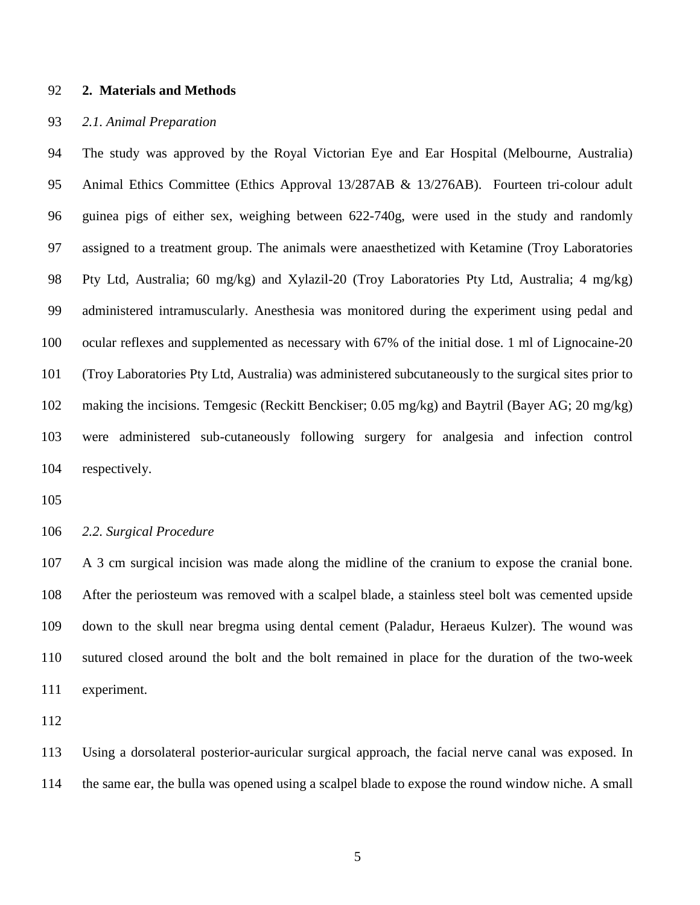## **2. Materials and Methods**

### *2.1. Animal Preparation*

 The study was approved by the Royal Victorian Eye and Ear Hospital (Melbourne, Australia) Animal Ethics Committee (Ethics Approval 13/287AB & 13/276AB). Fourteen tri-colour adult guinea pigs of either sex, weighing between 622-740g, were used in the study and randomly assigned to a treatment group. The animals were anaesthetized with Ketamine (Troy Laboratories Pty Ltd, Australia; 60 mg/kg) and Xylazil-20 (Troy Laboratories Pty Ltd, Australia; 4 mg/kg) administered intramuscularly. Anesthesia was monitored during the experiment using pedal and ocular reflexes and supplemented as necessary with 67% of the initial dose. 1 ml of Lignocaine-20 (Troy Laboratories Pty Ltd, Australia) was administered subcutaneously to the surgical sites prior to making the incisions. Temgesic (Reckitt Benckiser; 0.05 mg/kg) and Baytril (Bayer AG; 20 mg/kg) were administered sub-cutaneously following surgery for analgesia and infection control respectively.

### *2.2. Surgical Procedure*

 A 3 cm surgical incision was made along the midline of the cranium to expose the cranial bone. After the periosteum was removed with a scalpel blade, a stainless steel bolt was cemented upside down to the skull near bregma using dental cement (Paladur, Heraeus Kulzer). The wound was sutured closed around the bolt and the bolt remained in place for the duration of the two-week experiment.

 Using a dorsolateral posterior-auricular surgical approach, the facial nerve canal was exposed. In the same ear, the bulla was opened using a scalpel blade to expose the round window niche. A small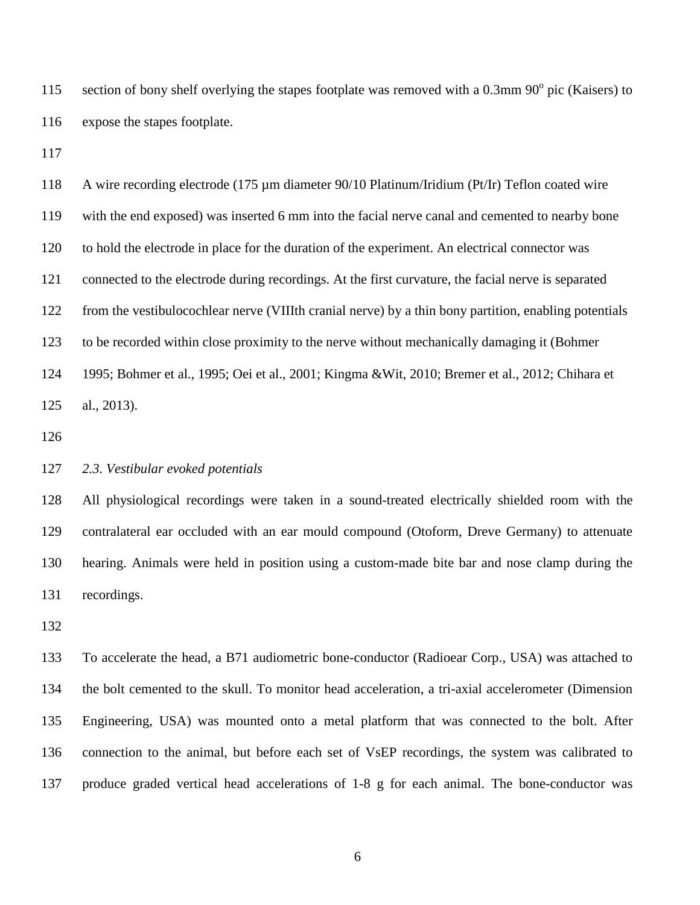115 section of bony shelf overlying the stapes footplate was removed with a  $0.3$ mm  $90^\circ$  pic (Kaisers) to expose the stapes footplate.

 A wire recording electrode (175 µm diameter 90/10 Platinum/Iridium (Pt/Ir) Teflon coated wire with the end exposed) was inserted 6 mm into the facial nerve canal and cemented to nearby bone to hold the electrode in place for the duration of the experiment. An electrical connector was connected to the electrode during recordings. At the first curvature, the facial nerve is separated from the vestibulocochlear nerve (VIIIth cranial nerve) by a thin bony partition, enabling potentials to be recorded within close proximity to the nerve without mechanically damaging it (Bohmer 1995; Bohmer et al., 1995; Oei et al., 2001; Kingma &Wit, 2010; Bremer et al., 2012; Chihara et al., 2013).

# *2.3. Vestibular evoked potentials*

 All physiological recordings were taken in a sound-treated electrically shielded room with the contralateral ear occluded with an ear mould compound (Otoform, Dreve Germany) to attenuate hearing. Animals were held in position using a custom-made bite bar and nose clamp during the recordings.

 To accelerate the head, a B71 audiometric bone-conductor (Radioear Corp., USA) was attached to the bolt cemented to the skull. To monitor head acceleration, a tri-axial accelerometer (Dimension Engineering, USA) was mounted onto a metal platform that was connected to the bolt. After connection to the animal, but before each set of VsEP recordings, the system was calibrated to produce graded vertical head accelerations of 1-8 g for each animal. The bone-conductor was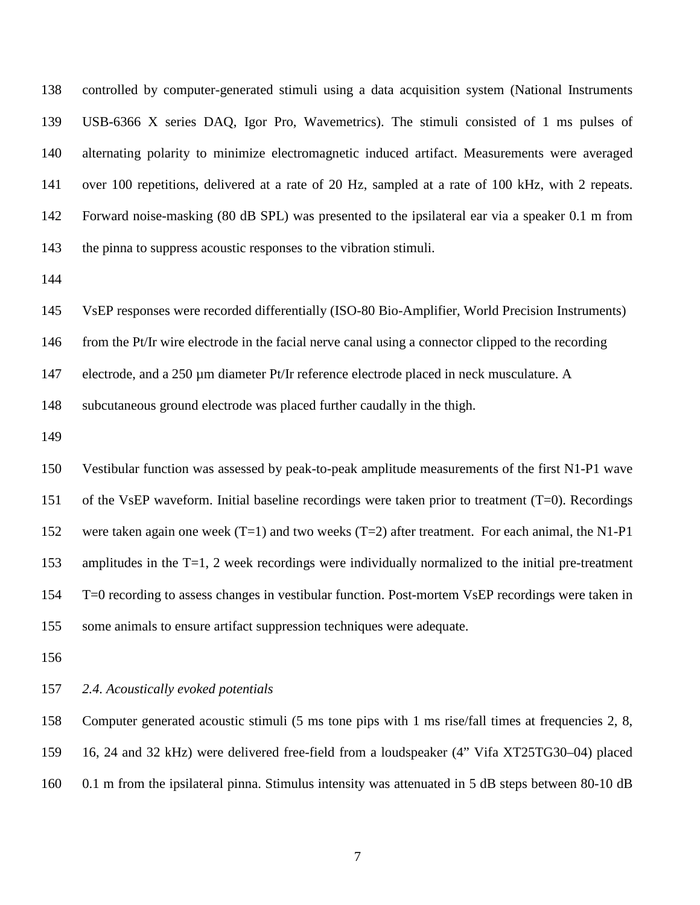controlled by computer-generated stimuli using a data acquisition system (National Instruments USB-6366 X series DAQ, Igor Pro, Wavemetrics). The stimuli consisted of 1 ms pulses of alternating polarity to minimize electromagnetic induced artifact. Measurements were averaged over 100 repetitions, delivered at a rate of 20 Hz, sampled at a rate of 100 kHz, with 2 repeats. Forward noise-masking (80 dB SPL) was presented to the ipsilateral ear via a speaker 0.1 m from the pinna to suppress acoustic responses to the vibration stimuli.

VsEP responses were recorded differentially (ISO-80 Bio-Amplifier, World Precision Instruments)

from the Pt/Ir wire electrode in the facial nerve canal using a connector clipped to the recording

147 electrode, and a 250 µm diameter Pt/Ir reference electrode placed in neck musculature. A

subcutaneous ground electrode was placed further caudally in the thigh.

 Vestibular function was assessed by peak-to-peak amplitude measurements of the first N1-P1 wave of the VsEP waveform. Initial baseline recordings were taken prior to treatment (T=0). Recordings 152 were taken again one week (T=1) and two weeks (T=2) after treatment. For each animal, the N1-P1 amplitudes in the T=1, 2 week recordings were individually normalized to the initial pre-treatment T=0 recording to assess changes in vestibular function. Post-mortem VsEP recordings were taken in some animals to ensure artifact suppression techniques were adequate.

## *2.4. Acoustically evoked potentials*

 Computer generated acoustic stimuli (5 ms tone pips with 1 ms rise/fall times at frequencies 2, 8, 16, 24 and 32 kHz) were delivered free-field from a loudspeaker (4" Vifa XT25TG30–04) placed 0.1 m from the ipsilateral pinna. Stimulus intensity was attenuated in 5 dB steps between 80-10 dB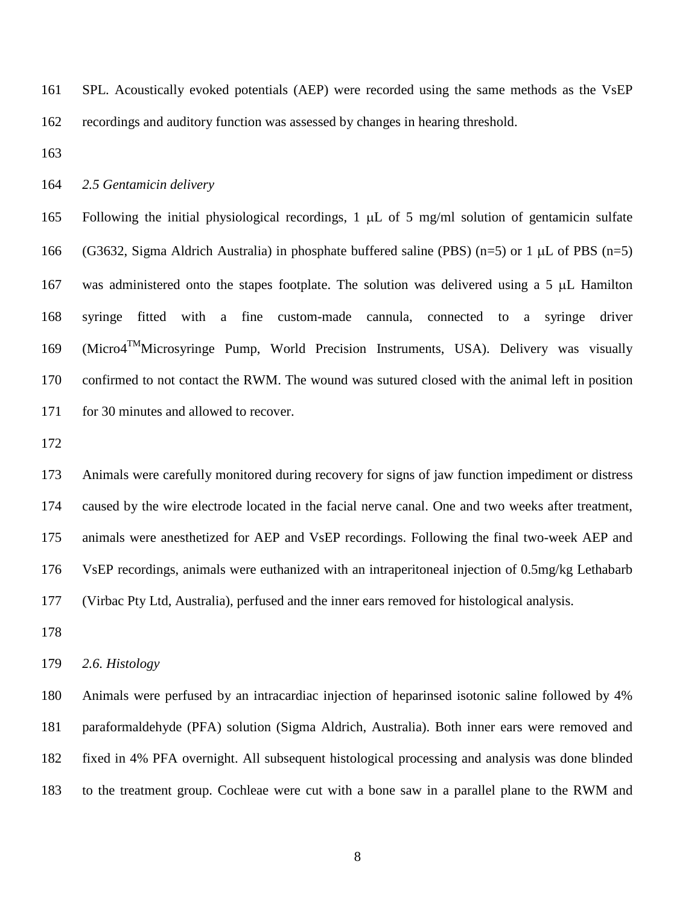SPL. Acoustically evoked potentials (AEP) were recorded using the same methods as the VsEP recordings and auditory function was assessed by changes in hearing threshold.

## *2.5 Gentamicin delivery*

 Following the initial physiological recordings, 1 µL of 5 mg/ml solution of gentamicin sulfate (G3632, Sigma Aldrich Australia) in phosphate buffered saline (PBS) (n=5) or 1 µL of PBS (n=5) was administered onto the stapes footplate. The solution was delivered using a 5 µL Hamilton syringe fitted with a fine custom-made cannula, connected to a syringe driver 169 (Micro4<sup>TM</sup> Microsyringe Pump, World Precision Instruments, USA). Delivery was visually confirmed to not contact the RWM. The wound was sutured closed with the animal left in position 171 for 30 minutes and allowed to recover.

 Animals were carefully monitored during recovery for signs of jaw function impediment or distress caused by the wire electrode located in the facial nerve canal. One and two weeks after treatment, animals were anesthetized for AEP and VsEP recordings. Following the final two-week AEP and VsEP recordings, animals were euthanized with an intraperitoneal injection of 0.5mg/kg Lethabarb (Virbac Pty Ltd, Australia), perfused and the inner ears removed for histological analysis.

# *2.6. Histology*

 Animals were perfused by an intracardiac injection of heparinsed isotonic saline followed by 4% paraformaldehyde (PFA) solution (Sigma Aldrich, Australia). Both inner ears were removed and fixed in 4% PFA overnight. All subsequent histological processing and analysis was done blinded to the treatment group. Cochleae were cut with a bone saw in a parallel plane to the RWM and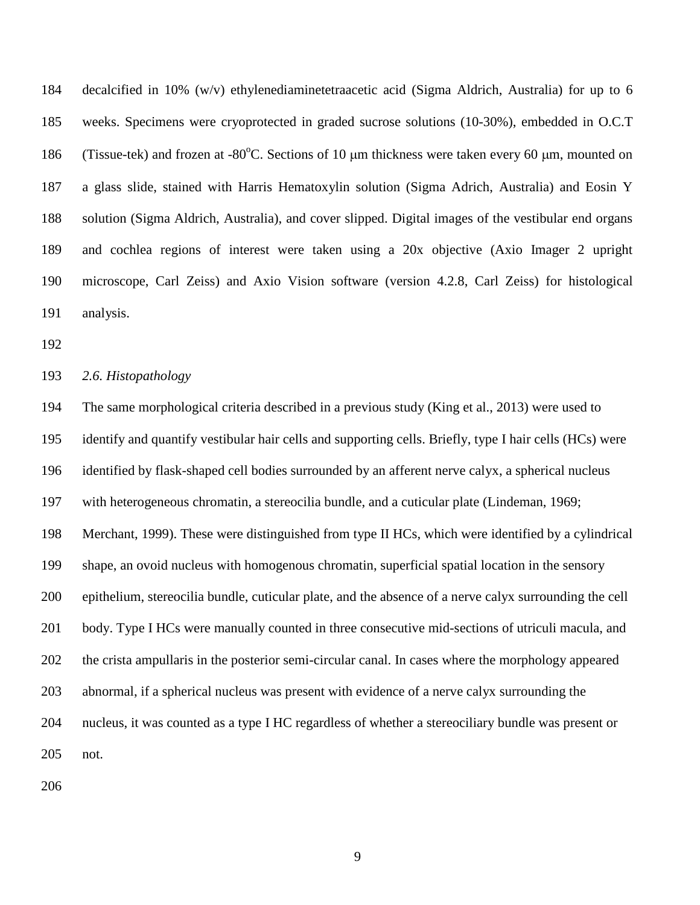decalcified in 10% (w/v) ethylenediaminetetraacetic acid (Sigma Aldrich, Australia) for up to 6 weeks. Specimens were cryoprotected in graded sucrose solutions (10-30%), embedded in O.C.T 186 (Tissue-tek) and frozen at -80 $^{\circ}$ C. Sections of 10 µm thickness were taken every 60 µm, mounted on a glass slide, stained with Harris Hematoxylin solution (Sigma Adrich, Australia) and Eosin Y solution (Sigma Aldrich, Australia), and cover slipped. Digital images of the vestibular end organs and cochlea regions of interest were taken using a 20x objective (Axio Imager 2 upright microscope, Carl Zeiss) and Axio Vision software (version 4.2.8, Carl Zeiss) for histological analysis.

## *2.6. Histopathology*

 The same morphological criteria described in a previous study (King et al., 2013) were used to identify and quantify vestibular hair cells and supporting cells. Briefly, type I hair cells (HCs) were identified by flask-shaped cell bodies surrounded by an afferent nerve calyx, a spherical nucleus with heterogeneous chromatin, a stereocilia bundle, and a cuticular plate (Lindeman, 1969; Merchant, 1999). These were distinguished from type II HCs, which were identified by a cylindrical shape, an ovoid nucleus with homogenous chromatin, superficial spatial location in the sensory epithelium, stereocilia bundle, cuticular plate, and the absence of a nerve calyx surrounding the cell body. Type I HCs were manually counted in three consecutive mid-sections of utriculi macula, and the crista ampullaris in the posterior semi-circular canal. In cases where the morphology appeared abnormal, if a spherical nucleus was present with evidence of a nerve calyx surrounding the nucleus, it was counted as a type I HC regardless of whether a stereociliary bundle was present or not.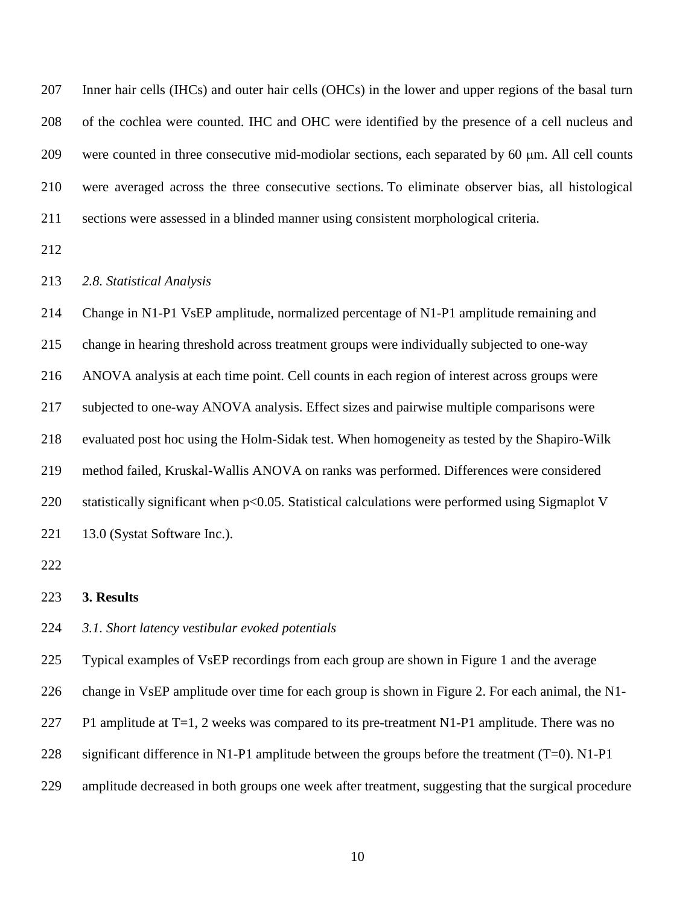| 207 | Inner hair cells (IHCs) and outer hair cells (OHCs) in the lower and upper regions of the basal turn |
|-----|------------------------------------------------------------------------------------------------------|
| 208 | of the cochlea were counted. IHC and OHC were identified by the presence of a cell nucleus and       |
| 209 | were counted in three consecutive mid-modiolar sections, each separated by 60 µm. All cell counts    |
| 210 | were averaged across the three consecutive sections. To eliminate observer bias, all histological    |
| 211 | sections were assessed in a blinded manner using consistent morphological criteria.                  |
| 212 |                                                                                                      |
| 213 | 2.8. Statistical Analysis                                                                            |
| 214 | Change in N1-P1 VsEP amplitude, normalized percentage of N1-P1 amplitude remaining and               |
| 215 | change in hearing threshold across treatment groups were individually subjected to one-way           |
| 216 | ANOVA analysis at each time point. Cell counts in each region of interest across groups were         |
| 217 | subjected to one-way ANOVA analysis. Effect sizes and pairwise multiple comparisons were             |
| 218 | evaluated post hoc using the Holm-Sidak test. When homogeneity as tested by the Shapiro-Wilk         |
| 219 | method failed, Kruskal-Wallis ANOVA on ranks was performed. Differences were considered              |

220 statistically significant when p<0.05. Statistical calculations were performed using Sigmaplot V

221 13.0 (Systat Software Inc.).

# **3. Results**

*3.1. Short latency vestibular evoked potentials*

Typical examples of VsEP recordings from each group are shown in Figure 1 and the average

change in VsEP amplitude over time for each group is shown in Figure 2. For each animal, the N1-

- 227 P1 amplitude at  $T=1$ , 2 weeks was compared to its pre-treatment N1-P1 amplitude. There was no
- 228 significant difference in N1-P1 amplitude between the groups before the treatment (T=0). N1-P1
- amplitude decreased in both groups one week after treatment, suggesting that the surgical procedure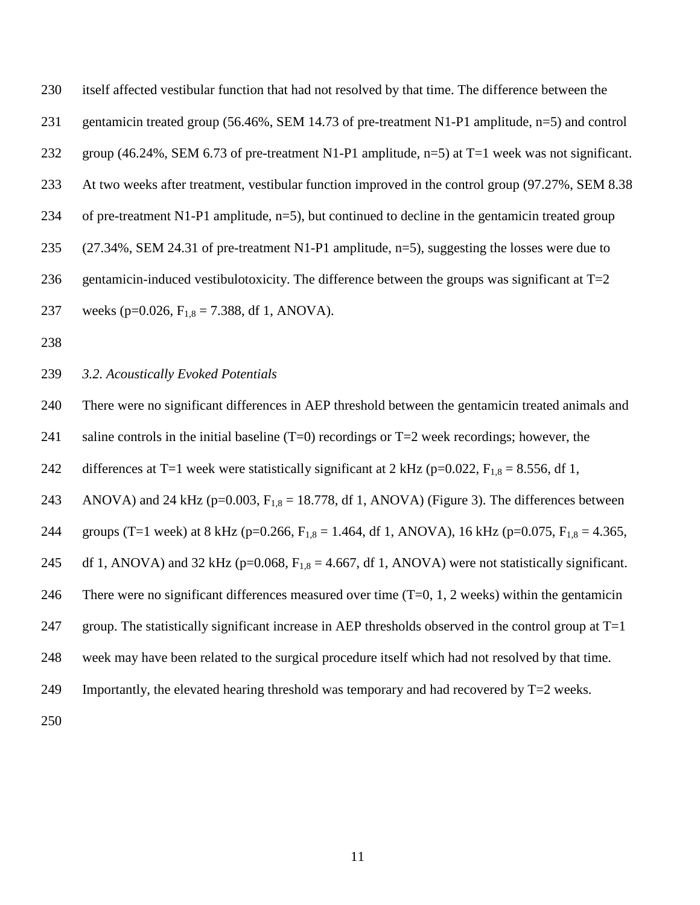| 230 | itself affected vestibular function that had not resolved by that time. The difference between the          |
|-----|-------------------------------------------------------------------------------------------------------------|
| 231 | gentamicin treated group (56.46%, SEM 14.73 of pre-treatment N1-P1 amplitude, n=5) and control              |
| 232 | group (46.24%, SEM 6.73 of pre-treatment N1-P1 amplitude, $n=5$ ) at T=1 week was not significant.          |
| 233 | At two weeks after treatment, vestibular function improved in the control group (97.27%, SEM 8.38           |
| 234 | of pre-treatment N1-P1 amplitude, $n=5$ ), but continued to decline in the gentamic treated group           |
| 235 | $(27.34\%,$ SEM 24.31 of pre-treatment N1-P1 amplitude, n=5), suggesting the losses were due to             |
| 236 | gentamicin-induced vestibulotoxicity. The difference between the groups was significant at $T=2$            |
| 237 | weeks (p=0.026, $F_{1.8} = 7.388$ , df 1, ANOVA).                                                           |
| 238 |                                                                                                             |
| 239 | 3.2. Acoustically Evoked Potentials                                                                         |
| 240 | There were no significant differences in AEP threshold between the gentamicin treated animals and           |
| 241 | saline controls in the initial baseline $(T=0)$ recordings or $T=2$ week recordings; however, the           |
| 242 | differences at T=1 week were statistically significant at 2 kHz ( $p=0.022$ , $F_{1,8} = 8.556$ , df 1,     |
| 243 | ANOVA) and 24 kHz ( $p=0.003$ , $F_{1,8} = 18.778$ , df 1, ANOVA) (Figure 3). The differences between       |
| 244 | groups (T=1 week) at 8 kHz (p=0.266, $F_{1,8} = 1.464$ , df 1, ANOVA), 16 kHz (p=0.075, $F_{1,8} = 4.365$ , |
| 245 | df 1, ANOVA) and 32 kHz ( $p=0.068$ , $F_{1,8} = 4.667$ , df 1, ANOVA) were not statistically significant.  |
| 246 | There were no significant differences measured over time $(T=0, 1, 2$ weeks) within the gentamicin          |
| 247 | group. The statistically significant increase in AEP thresholds observed in the control group at $T=1$      |
| 248 | week may have been related to the surgical procedure itself which had not resolved by that time.            |
| 249 | Importantly, the elevated hearing threshold was temporary and had recovered by T=2 weeks.                   |
| 250 |                                                                                                             |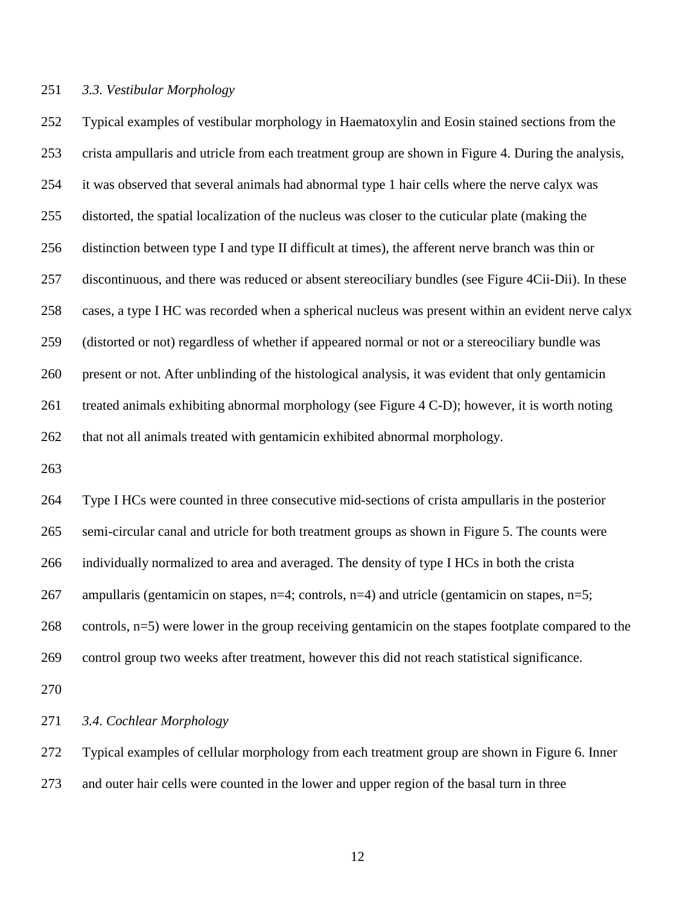# *3.3. Vestibular Morphology*

 Typical examples of vestibular morphology in Haematoxylin and Eosin stained sections from the crista ampullaris and utricle from each treatment group are shown in Figure 4. During the analysis, it was observed that several animals had abnormal type 1 hair cells where the nerve calyx was distorted, the spatial localization of the nucleus was closer to the cuticular plate (making the distinction between type I and type II difficult at times), the afferent nerve branch was thin or discontinuous, and there was reduced or absent stereociliary bundles (see Figure 4Cii-Dii). In these cases, a type I HC was recorded when a spherical nucleus was present within an evident nerve calyx (distorted or not) regardless of whether if appeared normal or not or a stereociliary bundle was present or not. After unblinding of the histological analysis, it was evident that only gentamicin treated animals exhibiting abnormal morphology (see Figure 4 C-D); however, it is worth noting that not all animals treated with gentamicin exhibited abnormal morphology.

 Type I HCs were counted in three consecutive mid-sections of crista ampullaris in the posterior semi-circular canal and utricle for both treatment groups as shown in Figure 5. The counts were individually normalized to area and averaged. The density of type I HCs in both the crista 267 ampullaris (gentamicin on stapes,  $n=4$ ; controls,  $n=4$ ) and utricle (gentamicin on stapes,  $n=5$ ; controls, n=5) were lower in the group receiving gentamicin on the stapes footplate compared to the control group two weeks after treatment, however this did not reach statistical significance.

*3.4. Cochlear Morphology*

 Typical examples of cellular morphology from each treatment group are shown in Figure 6. Inner and outer hair cells were counted in the lower and upper region of the basal turn in three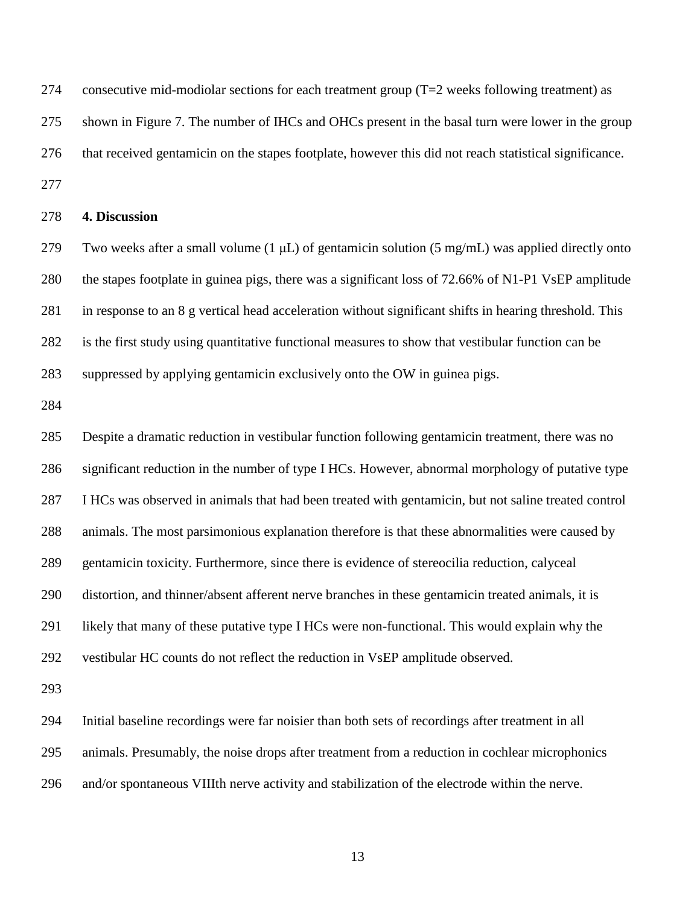274 consecutive mid-modiolar sections for each treatment group  $(T=2$  weeks following treatment) as shown in Figure 7. The number of IHCs and OHCs present in the basal turn were lower in the group that received gentamicin on the stapes footplate, however this did not reach statistical significance. 

# **4. Discussion**

279 Two weeks after a small volume  $(1 \mu L)$  of gentamicin solution (5 mg/mL) was applied directly onto the stapes footplate in guinea pigs, there was a significant loss of 72.66% of N1-P1 VsEP amplitude in response to an 8 g vertical head acceleration without significant shifts in hearing threshold. This is the first study using quantitative functional measures to show that vestibular function can be suppressed by applying gentamicin exclusively onto the OW in guinea pigs.

 Despite a dramatic reduction in vestibular function following gentamicin treatment, there was no significant reduction in the number of type I HCs. However, abnormal morphology of putative type I HCs was observed in animals that had been treated with gentamicin, but not saline treated control animals. The most parsimonious explanation therefore is that these abnormalities were caused by gentamicin toxicity. Furthermore, since there is evidence of stereocilia reduction, calyceal distortion, and thinner/absent afferent nerve branches in these gentamicin treated animals, it is likely that many of these putative type I HCs were non-functional. This would explain why the vestibular HC counts do not reflect the reduction in VsEP amplitude observed.

 Initial baseline recordings were far noisier than both sets of recordings after treatment in all animals. Presumably, the noise drops after treatment from a reduction in cochlear microphonics and/or spontaneous VIIIth nerve activity and stabilization of the electrode within the nerve.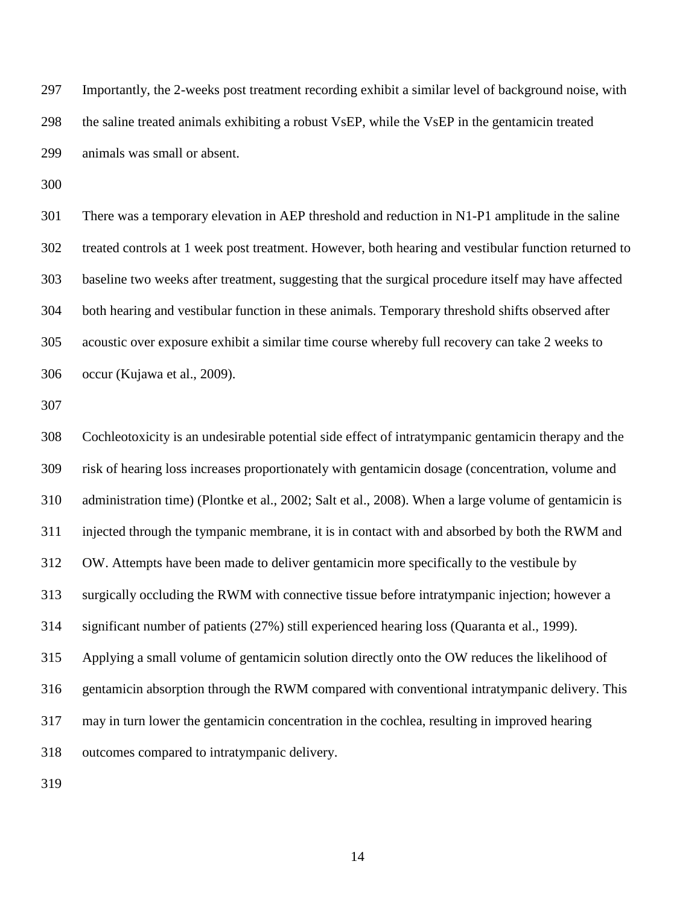Importantly, the 2-weeks post treatment recording exhibit a similar level of background noise, with the saline treated animals exhibiting a robust VsEP, while the VsEP in the gentamicin treated animals was small or absent.

 There was a temporary elevation in AEP threshold and reduction in N1-P1 amplitude in the saline treated controls at 1 week post treatment. However, both hearing and vestibular function returned to baseline two weeks after treatment, suggesting that the surgical procedure itself may have affected both hearing and vestibular function in these animals. Temporary threshold shifts observed after acoustic over exposure exhibit a similar time course whereby full recovery can take 2 weeks to occur (Kujawa et al., 2009).

 Cochleotoxicity is an undesirable potential side effect of intratympanic gentamicin therapy and the risk of hearing loss increases proportionately with gentamicin dosage (concentration, volume and administration time) (Plontke et al., 2002; Salt et al., 2008). When a large volume of gentamicin is injected through the tympanic membrane, it is in contact with and absorbed by both the RWM and OW. Attempts have been made to deliver gentamicin more specifically to the vestibule by surgically occluding the RWM with connective tissue before intratympanic injection; however a significant number of patients (27%) still experienced hearing loss (Quaranta et al., 1999). Applying a small volume of gentamicin solution directly onto the OW reduces the likelihood of gentamicin absorption through the RWM compared with conventional intratympanic delivery. This may in turn lower the gentamicin concentration in the cochlea, resulting in improved hearing outcomes compared to intratympanic delivery.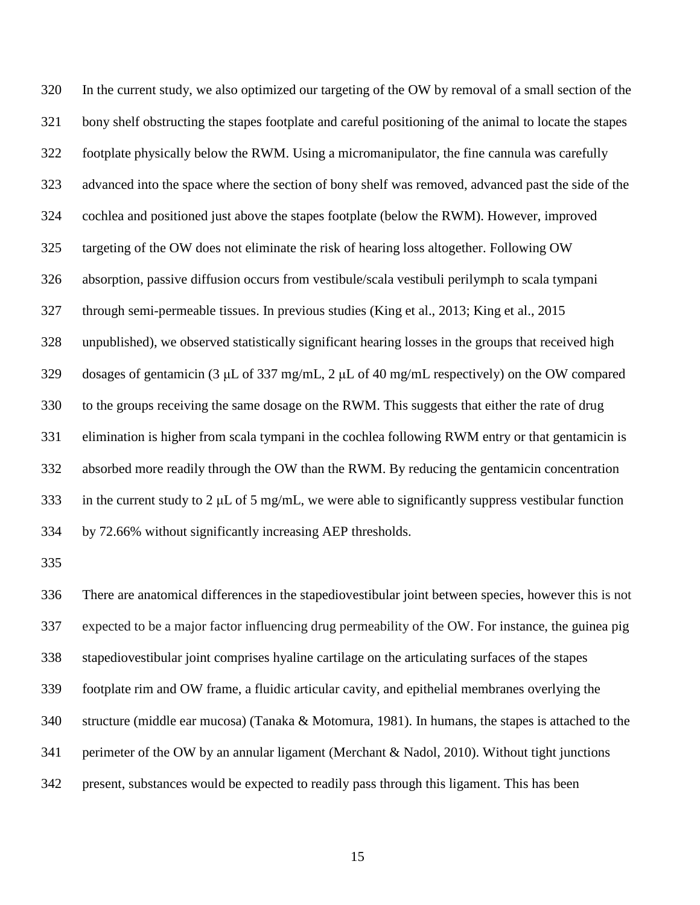In the current study, we also optimized our targeting of the OW by removal of a small section of the bony shelf obstructing the stapes footplate and careful positioning of the animal to locate the stapes footplate physically below the RWM. Using a micromanipulator, the fine cannula was carefully advanced into the space where the section of bony shelf was removed, advanced past the side of the cochlea and positioned just above the stapes footplate (below the RWM). However, improved targeting of the OW does not eliminate the risk of hearing loss altogether. Following OW absorption, passive diffusion occurs from vestibule/scala vestibuli perilymph to scala tympani through semi-permeable tissues. In previous studies (King et al., 2013; King et al., 2015 unpublished), we observed statistically significant hearing losses in the groups that received high dosages of gentamicin (3 μL of 337 mg/mL, 2 μL of 40 mg/mL respectively) on the OW compared to the groups receiving the same dosage on the RWM. This suggests that either the rate of drug elimination is higher from scala tympani in the cochlea following RWM entry or that gentamicin is absorbed more readily through the OW than the RWM. By reducing the gentamicin concentration 333 in the current study to 2  $\mu$ L of 5 mg/mL, we were able to significantly suppress vestibular function by 72.66% without significantly increasing AEP thresholds.

 There are anatomical differences in the stapediovestibular joint between species, however this is not expected to be a major factor influencing drug permeability of the OW. For instance, the guinea pig stapediovestibular joint comprises hyaline cartilage on the articulating surfaces of the stapes footplate rim and OW frame, a fluidic articular cavity, and epithelial membranes overlying the structure (middle ear mucosa) (Tanaka & Motomura, 1981). In humans, the stapes is attached to the perimeter of the OW by an annular ligament (Merchant & Nadol, 2010). Without tight junctions present, substances would be expected to readily pass through this ligament. This has been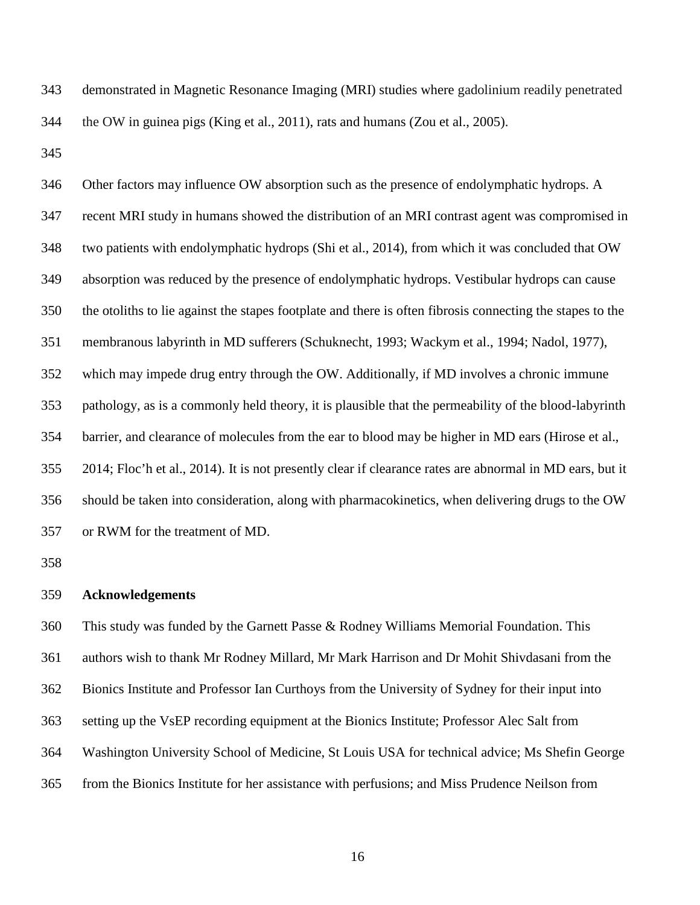demonstrated in Magnetic Resonance Imaging (MRI) studies where gadolinium readily penetrated the OW in guinea pigs (King et al., 2011), rats and humans (Zou et al., 2005).

 Other factors may influence OW absorption such as the presence of endolymphatic hydrops. A recent MRI study in humans showed the distribution of an MRI contrast agent was compromised in two patients with endolymphatic hydrops (Shi et al., 2014), from which it was concluded that OW absorption was reduced by the presence of endolymphatic hydrops. Vestibular hydrops can cause the otoliths to lie against the stapes footplate and there is often fibrosis connecting the stapes to the membranous labyrinth in MD sufferers (Schuknecht, 1993; Wackym et al., 1994; Nadol, 1977), which may impede drug entry through the OW. Additionally, if MD involves a chronic immune pathology, as is a commonly held theory, it is plausible that the permeability of the blood-labyrinth barrier, and clearance of molecules from the ear to blood may be higher in MD ears (Hirose et al., 2014; Floc'h et al., 2014). It is not presently clear if clearance rates are abnormal in MD ears, but it should be taken into consideration, along with pharmacokinetics, when delivering drugs to the OW or RWM for the treatment of MD.

### **Acknowledgements**

 This study was funded by the Garnett Passe & Rodney Williams Memorial Foundation. This authors wish to thank Mr Rodney Millard, Mr Mark Harrison and Dr Mohit Shivdasani from the Bionics Institute and Professor Ian Curthoys from the University of Sydney for their input into setting up the VsEP recording equipment at the Bionics Institute; Professor Alec Salt from Washington University School of Medicine, St Louis USA for technical advice; Ms Shefin George from the Bionics Institute for her assistance with perfusions; and Miss Prudence Neilson from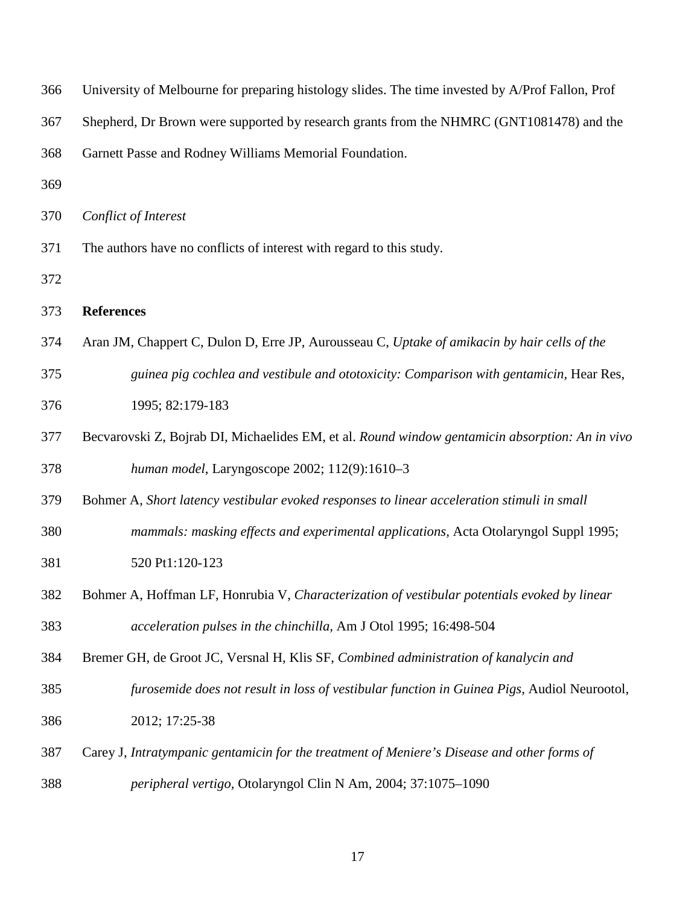| University of Melbourne for preparing histology slides. The time invested by A/Prof Fallon, Prof |
|--------------------------------------------------------------------------------------------------|
| Shepherd, Dr Brown were supported by research grants from the NHMRC (GNT1081478) and the         |
| Garnett Passe and Rodney Williams Memorial Foundation.                                           |
|                                                                                                  |
| Conflict of Interest                                                                             |
| The authors have no conflicts of interest with regard to this study.                             |
|                                                                                                  |
| <b>References</b>                                                                                |
| Aran JM, Chappert C, Dulon D, Erre JP, Aurousseau C, Uptake of amikacin by hair cells of the     |
| guinea pig cochlea and vestibule and ototoxicity: Comparison with gentamicin, Hear Res,          |
| 1995; 82:179-183                                                                                 |
| Becvarovski Z, Bojrab DI, Michaelides EM, et al. Round window gentamicin absorption: An in vivo  |
| human model, Laryngoscope 2002; 112(9):1610-3                                                    |
| Bohmer A, Short latency vestibular evoked responses to linear acceleration stimuli in small      |
| mammals: masking effects and experimental applications, Acta Otolaryngol Suppl 1995;             |
| 520 Pt1:120-123                                                                                  |
| Bohmer A, Hoffman LF, Honrubia V, Characterization of vestibular potentials evoked by linear     |
| acceleration pulses in the chinchilla, Am J Otol 1995; 16:498-504                                |
| Bremer GH, de Groot JC, Versnal H, Klis SF, Combined administration of kanalycin and             |
| furosemide does not result in loss of vestibular function in Guinea Pigs, Audiol Neurootol,      |
| 2012; 17:25-38                                                                                   |
| Carey J, Intratympanic gentamicin for the treatment of Meniere's Disease and other forms of      |
| peripheral vertigo, Otolaryngol Clin N Am, 2004; 37:1075-1090                                    |
|                                                                                                  |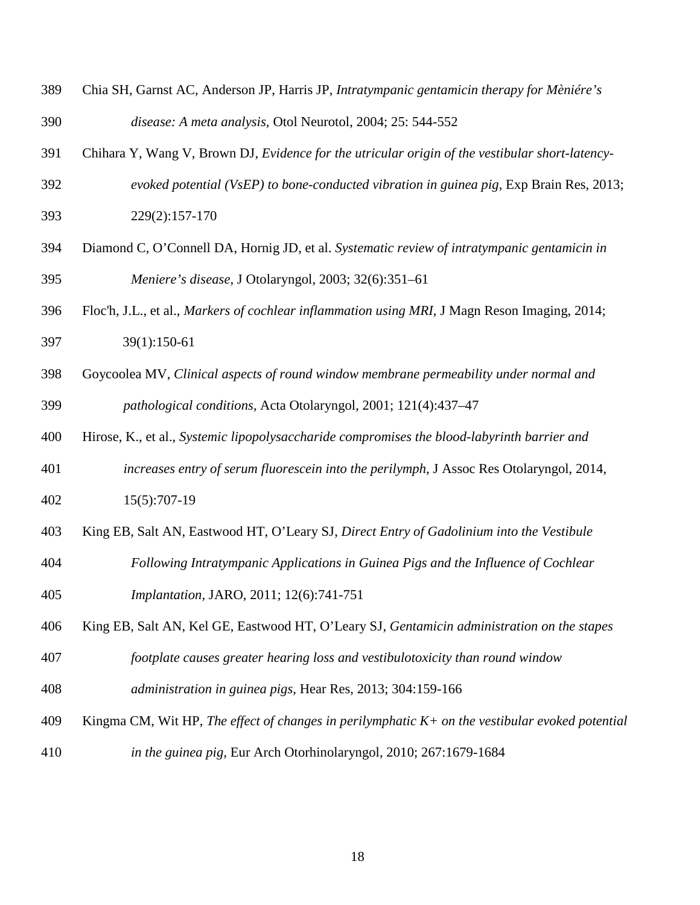- Chia SH, Garnst AC, Anderson JP, Harris JP, *Intratympanic gentamicin therapy for Mèniére's disease: A meta analysis,* Otol Neurotol, 2004; 25: 544-552
- Chihara Y, Wang V, Brown DJ, *Evidence for the utricular origin of the vestibular short-latency-evoked potential (VsEP) to bone-conducted vibration in guinea pig,* Exp Brain Res, 2013;
- 229(2):157-170
- Diamond C, O'Connell DA, Hornig JD, et al. *Systematic review of intratympanic gentamicin in Meniere's disease*, J Otolaryngol, 2003; 32(6):351–61
- Floc'h, J.L., et al., *Markers of cochlear inflammation using MRI,* J Magn Reson Imaging, 2014; 39(1):150-61
- Goycoolea MV, *Clinical aspects of round window membrane permeability under normal and pathological conditions*, Acta Otolaryngol, 2001; 121(4):437–47
- Hirose, K., et al., *Systemic lipopolysaccharide compromises the blood-labyrinth barrier and*
- *increases entry of serum fluorescein into the perilymph,* J Assoc Res Otolaryngol, 2014, 15(5):707-19
- King EB, Salt AN, Eastwood HT, O'Leary SJ, *Direct Entry of Gadolinium into the Vestibule*
- *Following Intratympanic Applications in Guinea Pigs and the Influence of Cochlear*
- *Implantation,* JARO, 2011; 12(6):741-751
- King EB, Salt AN, Kel GE, Eastwood HT, O'Leary SJ, *[Gentamicin administration on the stapes](http://www.ncbi.nlm.nih.gov/pubmed/23899413)*
- *[footplate causes greater hearing loss and vestibulotoxicity than round window](http://www.ncbi.nlm.nih.gov/pubmed/23899413)*
- *[administration in guinea pigs](http://www.ncbi.nlm.nih.gov/pubmed/23899413)*, Hear Res, 2013; 304:159-166
- Kingma CM, Wit HP, *The effect of changes in perilymphatic K+ on the vestibular evoked potential*
- *in the guinea pig,* Eur Arch Otorhinolaryngol, 2010; 267:1679-1684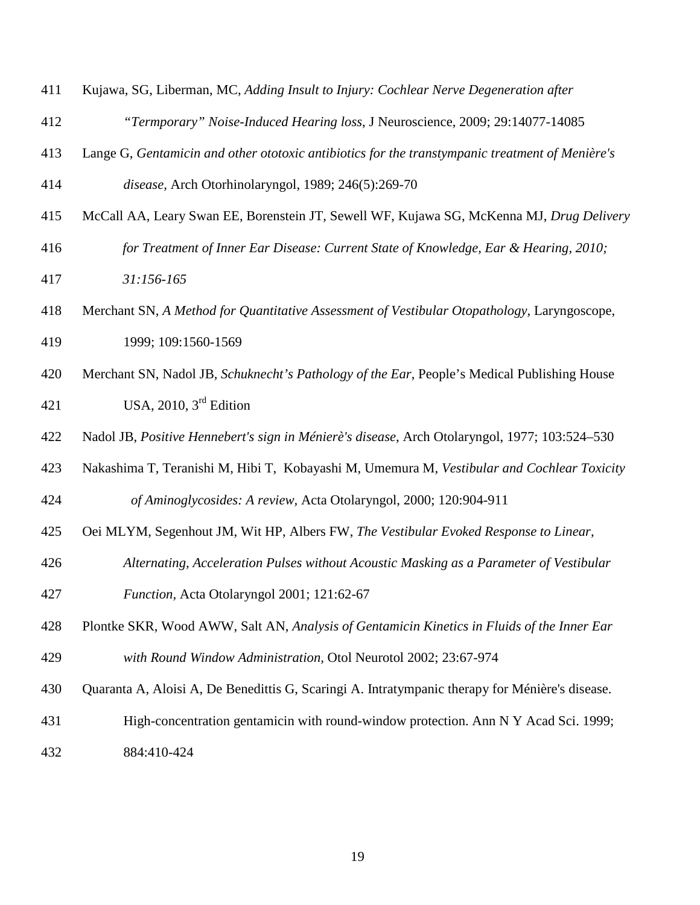- Kujawa, SG, Liberman, MC, *Adding Insult to Injury: Cochlear Nerve Degeneration after*
- *"Termporary" Noise-Induced Hearing loss*, J Neuroscience, 2009; 29:14077-14085
- [Lange G,](http://www.ncbi.nlm.nih.gov.ezp.lib.unimelb.edu.au/pubmed/?term=Lange%20G%5BAuthor%5D&cauthor=true&cauthor_uid=2590032) *Gentamicin and other ototoxic antibiotics for the transtympanic treatment of Menière's*
- *disease,* Arch Otorhinolaryngol, 1989; 246(5):269-70
- McCall AA, Leary Swan EE, Borenstein JT, Sewell WF, Kujawa SG, McKenna MJ, *Drug Delivery*
- *for Treatment of Inner Ear Disease: Current State of Knowledge, Ear & Hearing, 2010; 31:156-165*
- Merchant SN, *A Method for Quantitative Assessment of Vestibular Otopathology,* Laryngoscope, 1999; 109:1560-1569
- Merchant SN, Nadol JB, *Schuknecht's Pathology of the Ear*, People's Medical Publishing House 421 USA, 2010,  $3<sup>rd</sup>$  Edition
- Nadol JB, *Positive Hennebert's sign in Ménierè's disease*, Arch Otolaryngol, 1977; 103:524–530
- Nakashima T, Teranishi M, Hibi T, Kobayashi M, Umemura M, *Vestibular and Cochlear Toxicity of Aminoglycosides: A review,* Acta Otolaryngol, 2000; 120:904-911
- Oei MLYM, Segenhout JM, Wit HP, Albers FW, *The Vestibular Evoked Response to Linear,*
- *Alternating, Acceleration Pulses without Acoustic Masking as a Parameter of Vestibular Function,* Acta Otolaryngol 2001; 121:62-67
- Plontke SKR, Wood AWW, Salt AN, *Analysis of Gentamicin Kinetics in Fluids of the Inner Ear with Round Window Administration,* Otol Neurotol 2002; 23:67-974
- Quaranta A, Aloisi A, De Benedittis G, Scaringi A. Intratympanic therapy for Ménière's disease.
- High-concentration gentamicin with round-window protection. Ann N Y Acad Sci. 1999; 884:410-424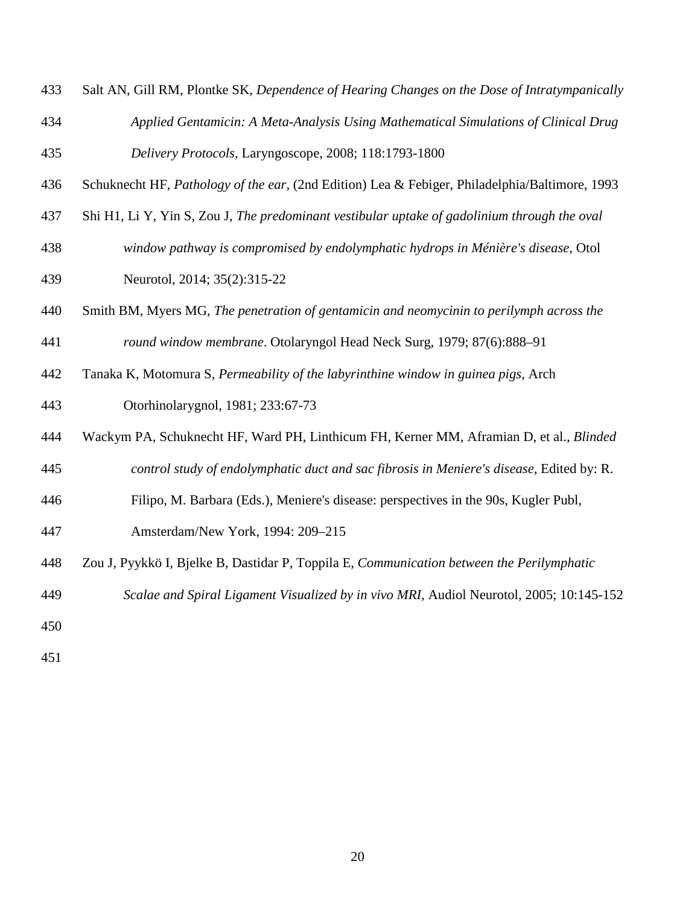- Salt AN, Gill RM, Plontke SK, *Dependence of Hearing Changes on the Dose of Intratympanically*
- *Applied Gentamicin: A Meta-Analysis Using Mathematical Simulations of Clinical Drug Delivery Protocols,* Laryngoscope, 2008; 118:1793-1800
- Schuknecht HF, *Pathology of the ear,* (2nd Edition) Lea & Febiger, Philadelphia/Baltimore, 1993
- [Shi H1](http://www.ncbi.nlm.nih.gov.ezp.lib.unimelb.edu.au/pubmed/?term=Shi%20H%5BAuthor%5D&cauthor=true&cauthor_uid=24270715), [Li Y,](http://www.ncbi.nlm.nih.gov.ezp.lib.unimelb.edu.au/pubmed/?term=Li%20Y%5BAuthor%5D&cauthor=true&cauthor_uid=24270715) [Yin S,](http://www.ncbi.nlm.nih.gov.ezp.lib.unimelb.edu.au/pubmed/?term=Yin%20S%5BAuthor%5D&cauthor=true&cauthor_uid=24270715) [Zou J,](http://www.ncbi.nlm.nih.gov.ezp.lib.unimelb.edu.au/pubmed/?term=Zou%20J%5BAuthor%5D&cauthor=true&cauthor_uid=24270715) *The predominant vestibular uptake of gadolinium through the oval*
- *window pathway is compromised by endolymphatic hydrops in Ménière's disease*, Otol Neurotol, 2014; 35(2):315-22
- Smith BM, Myers MG, *The penetration of gentamicin and neomycinin to perilymph across the round window membrane*. Otolaryngol Head Neck Surg, 1979; 87(6):888–91
- Tanaka K, Motomura S, *Permeability of the labyrinthine window in guinea pigs,* Arch
- Otorhinolarygnol, 1981; 233:67-73
- Wackym PA, Schuknecht HF, Ward PH, Linthicum FH, Kerner MM, Aframian D, et al., *Blinded*
- *control study of endolymphatic duct and sac fibrosis in Meniere's disease*, Edited by: R.
- Filipo, M. Barbara (Eds.), Meniere's disease: perspectives in the 90s, Kugler Publ,
- Amsterdam/New York, 1994: 209–215
- Zou J, Pyykkö I, Bjelke B, Dastidar P, Toppila E, *Communication between the Perilymphatic*
- *Scalae and Spiral Ligament Visualized by in vivo MRI,* Audiol Neurotol, 2005; 10:145-152
- 
-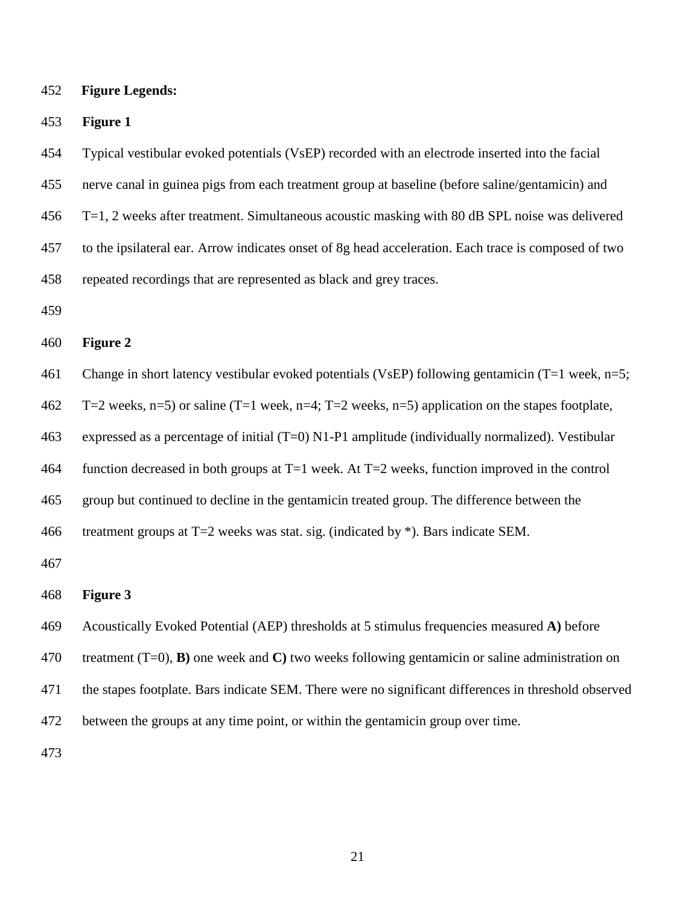**Figure Legends:**

**Figure 1**

Typical vestibular evoked potentials (VsEP) recorded with an electrode inserted into the facial

nerve canal in guinea pigs from each treatment group at baseline (before saline/gentamicin) and

T=1, 2 weeks after treatment. Simultaneous acoustic masking with 80 dB SPL noise was delivered

to the ipsilateral ear. Arrow indicates onset of 8g head acceleration. Each trace is composed of two

repeated recordings that are represented as black and grey traces.

#### **Figure 2**

Change in short latency vestibular evoked potentials (VsEP) following gentamicin (T=1 week, n=5;

T=2 weeks, n=5) or saline (T=1 week, n=4; T=2 weeks, n=5) application on the stapes footplate,

expressed as a percentage of initial (T=0) N1-P1 amplitude (individually normalized). Vestibular

function decreased in both groups at T=1 week. At T=2 weeks, function improved in the control

group but continued to decline in the gentamicin treated group. The difference between the

466 treatment groups at  $T=2$  weeks was stat. sig. (indicated by  $*$ ). Bars indicate SEM.

#### **Figure 3**

Acoustically Evoked Potential (AEP) thresholds at 5 stimulus frequencies measured **A)** before

treatment (T=0), **B)** one week and **C)** two weeks following gentamicin or saline administration on

the stapes footplate. Bars indicate SEM. There were no significant differences in threshold observed

between the groups at any time point, or within the gentamicin group over time.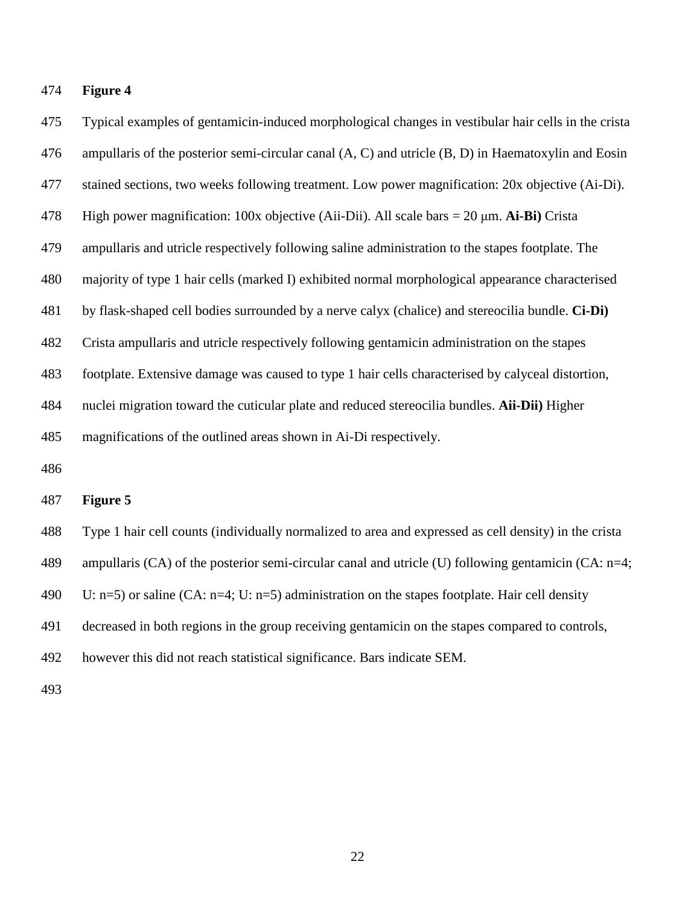## **Figure 4**

 Typical examples of gentamicin-induced morphological changes in vestibular hair cells in the crista ampullaris of the posterior semi-circular canal (A, C) and utricle (B, D) in Haematoxylin and Eosin stained sections, two weeks following treatment. Low power magnification: 20x objective (Ai-Di). High power magnification: 100x objective (Aii-Dii). All scale bars = 20 μm. **Ai-Bi)** Crista ampullaris and utricle respectively following saline administration to the stapes footplate. The majority of type 1 hair cells (marked I) exhibited normal morphological appearance characterised by flask-shaped cell bodies surrounded by a nerve calyx (chalice) and stereocilia bundle. **Ci-Di)**  Crista ampullaris and utricle respectively following gentamicin administration on the stapes footplate. Extensive damage was caused to type 1 hair cells characterised by calyceal distortion, nuclei migration toward the cuticular plate and reduced stereocilia bundles. **Aii-Dii)** Higher magnifications of the outlined areas shown in Ai-Di respectively.

# **Figure 5**

 Type 1 hair cell counts (individually normalized to area and expressed as cell density) in the crista ampullaris (CA) of the posterior semi-circular canal and utricle (U) following gentamicin (CA: n=4; 490 U: n=5) or saline (CA: n=4; U: n=5) administration on the stapes footplate. Hair cell density decreased in both regions in the group receiving gentamicin on the stapes compared to controls,

however this did not reach statistical significance. Bars indicate SEM.